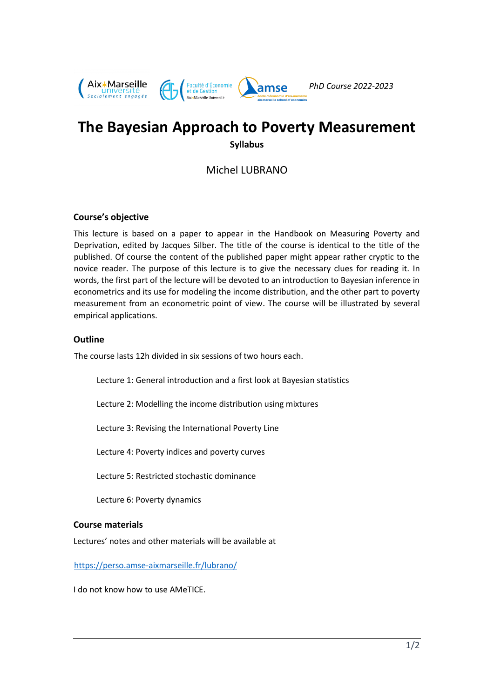

# **The Bayesian Approach to Poverty Measurement Syllabus**

Michel LUBRANO

# **Course's objective**

This lecture is based on a paper to appear in the Handbook on Measuring Poverty and Deprivation, edited by Jacques Silber. The title of the course is identical to the title of the published. Of course the content of the published paper might appear rather cryptic to the novice reader. The purpose of this lecture is to give the necessary clues for reading it. In words, the first part of the lecture will be devoted to an introduction to Bayesian inference in econometrics and its use for modeling the income distribution, and the other part to poverty measurement from an econometric point of view. The course will be illustrated by several empirical applications.

## **Outline**

The course lasts 12h divided in six sessions of two hours each.

Lecture 1: General introduction and a first look at Bayesian statistics

Lecture 2: Modelling the income distribution using mixtures

Lecture 3: Revising the International Poverty Line

Lecture 4: Poverty indices and poverty curves

Lecture 5: Restricted stochastic dominance

Lecture 6: Poverty dynamics

#### **Course materials**

Lectures' notes and other materials will be available at

<https://perso.amse-aixmarseille.fr/lubrano/>

I do not know how to use AMeTICE.